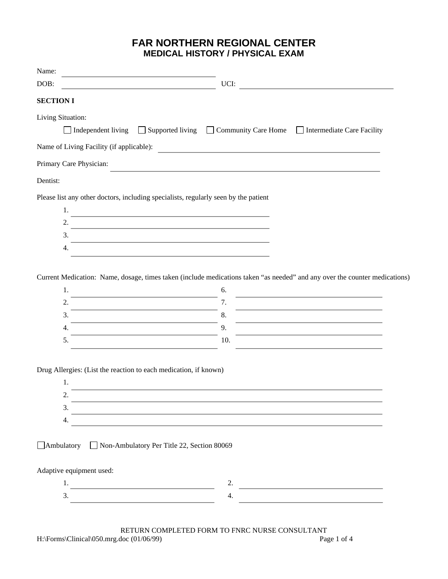## **FAR NORTHERN REGIONAL CENTER MEDICAL HISTORY / PHYSICAL EXAM**

| Name:                                                            |                                                                                                                                                                                                                               |  |
|------------------------------------------------------------------|-------------------------------------------------------------------------------------------------------------------------------------------------------------------------------------------------------------------------------|--|
| DOB:                                                             | UCI:                                                                                                                                                                                                                          |  |
| <b>SECTION I</b>                                                 |                                                                                                                                                                                                                               |  |
| Living Situation:                                                |                                                                                                                                                                                                                               |  |
|                                                                  | □ Independent living □ Supported living □ Community Care Home □ Intermediate Care Facility                                                                                                                                    |  |
|                                                                  | Name of Living Facility (if applicable):                                                                                                                                                                                      |  |
| Primary Care Physician:                                          |                                                                                                                                                                                                                               |  |
| Dentist:                                                         |                                                                                                                                                                                                                               |  |
|                                                                  | Please list any other doctors, including specialists, regularly seen by the patient                                                                                                                                           |  |
| 1.                                                               | the control of the control of the control of the control of the control of the control of the control of the control of the control of the control of the control of the control of the control of the control of the control |  |
| 2.                                                               |                                                                                                                                                                                                                               |  |
| 3.                                                               |                                                                                                                                                                                                                               |  |
| 4.                                                               |                                                                                                                                                                                                                               |  |
|                                                                  |                                                                                                                                                                                                                               |  |
|                                                                  | Current Medication: Name, dosage, times taken (include medications taken "as needed" and any over the counter medications)                                                                                                    |  |
| 1.                                                               | 6.                                                                                                                                                                                                                            |  |
| 2.                                                               | the control of the control of the control of the<br>7.                                                                                                                                                                        |  |
| 3.                                                               | the control of the control of the control of the control of the control of<br>8.                                                                                                                                              |  |
| 4.                                                               | 9.                                                                                                                                                                                                                            |  |
| 5.                                                               | 10.                                                                                                                                                                                                                           |  |
|                                                                  |                                                                                                                                                                                                                               |  |
| Drug Allergies: (List the reaction to each medication, if known) |                                                                                                                                                                                                                               |  |
| 1.                                                               |                                                                                                                                                                                                                               |  |
| 2.                                                               | and the control of the control of the control of the control of the control of the control of the control of the                                                                                                              |  |
| 3.                                                               | and the control of the control of the control of the control of the control of the control of the control of the                                                                                                              |  |
| 4.                                                               |                                                                                                                                                                                                                               |  |
|                                                                  |                                                                                                                                                                                                                               |  |
| □ Ambulatory □ Non-Ambulatory Per Title 22, Section 80069        |                                                                                                                                                                                                                               |  |
|                                                                  |                                                                                                                                                                                                                               |  |
| Adaptive equipment used:                                         |                                                                                                                                                                                                                               |  |
| $1.$ $\overline{\phantom{a}}$                                    | 2.<br>the control of the control of the control of the control of                                                                                                                                                             |  |
| 3.                                                               | 4.                                                                                                                                                                                                                            |  |
|                                                                  |                                                                                                                                                                                                                               |  |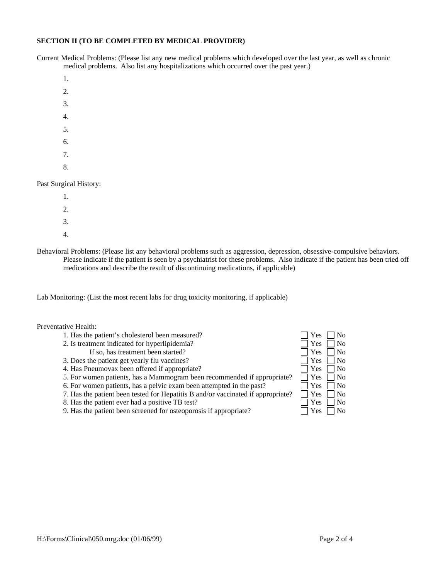## **SECTION II (TO BE COMPLETED BY MEDICAL PROVIDER)**

Current Medical Problems: (Please list any new medical problems which developed over the last year, as well as chronic medical problems. Also list any hospitalizations which occurred over the past year.)

- 1.
- 2.
- 
- 3.
- 4.
- 5.
- 6.
- 7.
- 8.

Past Surgical History:

- 1. 2.
- 3.
- 4.
- Behavioral Problems: (Please list any behavioral problems such as aggression, depression, obsessive-compulsive behaviors. Please indicate if the patient is seen by a psychiatrist for these problems. Also indicate if the patient has been tried off medications and describe the result of discontinuing medications, if applicable)

Lab Monitoring: (List the most recent labs for drug toxicity monitoring, if applicable)

Preventative Health:

- 1. Has the patient's cholesterol been measured?
- 2. Is treatment indicated for hyperlipidemia?
	- If so, has treatment been started?
- 3. Does the patient get yearly flu vaccines?
- 4. Has Pneumovax been offered if appropriate?
- 5. For women patients, has a Mammogram been recommended if appropriate?
- 6. For women patients, has a pelvic exam been attempted in the past?
- 7. Has the patient been tested for Hepatitis B and/or vaccinated if appropriate?
- 8. Has the patient ever had a positive TB test?
- 9. Has the patient been screened for osteoporosis if appropriate?

| Yes | No       |
|-----|----------|
| Yes | No       |
| Yes | No       |
| Yes | Nο       |
| Yes | No       |
| Yes | No       |
| Yes | No       |
| Yes | No       |
| Yes | Nο       |
| Yes | $\rm No$ |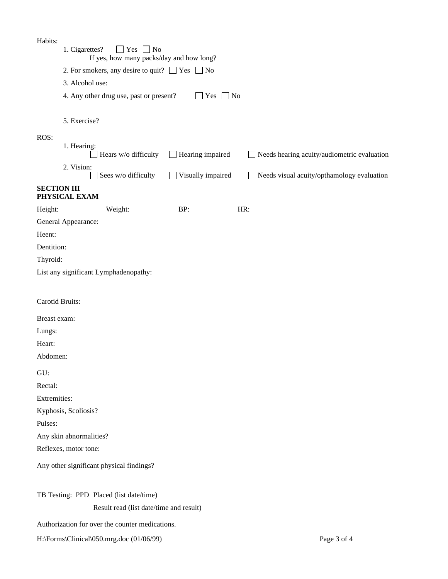| Habits:                                                 | 1. Cigarettes?<br>$\Box$ Yes $\Box$ No<br>If yes, how many packs/day and how long? |                         |                                                    |  |  |  |  |  |  |
|---------------------------------------------------------|------------------------------------------------------------------------------------|-------------------------|----------------------------------------------------|--|--|--|--|--|--|
|                                                         | 2. For smokers, any desire to quit? $\Box$ Yes $\Box$ No                           |                         |                                                    |  |  |  |  |  |  |
|                                                         | 3. Alcohol use:                                                                    |                         |                                                    |  |  |  |  |  |  |
|                                                         | 4. Any other drug use, past or present?<br>$\blacksquare$ Yes $\blacksquare$ No    |                         |                                                    |  |  |  |  |  |  |
|                                                         |                                                                                    |                         |                                                    |  |  |  |  |  |  |
|                                                         | 5. Exercise?                                                                       |                         |                                                    |  |  |  |  |  |  |
| ROS:                                                    |                                                                                    |                         |                                                    |  |  |  |  |  |  |
|                                                         | 1. Hearing:<br>Hears w/o difficulty                                                | $\Box$ Hearing impaired | $\Box$ Needs hearing acuity/audiometric evaluation |  |  |  |  |  |  |
|                                                         | 2. Vision:<br>Sees w/o difficulty                                                  | Visually impaired       | $\Box$ Needs visual acuity/opthamology evaluation  |  |  |  |  |  |  |
| <b>SECTION III</b>                                      | PHYSICAL EXAM                                                                      |                         |                                                    |  |  |  |  |  |  |
| Height:                                                 | Weight:                                                                            | BP:                     | HR:                                                |  |  |  |  |  |  |
|                                                         | General Appearance:                                                                |                         |                                                    |  |  |  |  |  |  |
| Heent:                                                  |                                                                                    |                         |                                                    |  |  |  |  |  |  |
| Dentition:                                              |                                                                                    |                         |                                                    |  |  |  |  |  |  |
| Thyroid:                                                |                                                                                    |                         |                                                    |  |  |  |  |  |  |
|                                                         | List any significant Lymphadenopathy:                                              |                         |                                                    |  |  |  |  |  |  |
|                                                         |                                                                                    |                         |                                                    |  |  |  |  |  |  |
| Carotid Bruits:                                         |                                                                                    |                         |                                                    |  |  |  |  |  |  |
| Breast exam:                                            |                                                                                    |                         |                                                    |  |  |  |  |  |  |
| Lungs:                                                  |                                                                                    |                         |                                                    |  |  |  |  |  |  |
| Heart:                                                  |                                                                                    |                         |                                                    |  |  |  |  |  |  |
| Abdomen:                                                |                                                                                    |                         |                                                    |  |  |  |  |  |  |
| GU:                                                     |                                                                                    |                         |                                                    |  |  |  |  |  |  |
| Rectal:                                                 |                                                                                    |                         |                                                    |  |  |  |  |  |  |
| Extremities:                                            |                                                                                    |                         |                                                    |  |  |  |  |  |  |
|                                                         | Kyphosis, Scoliosis?                                                               |                         |                                                    |  |  |  |  |  |  |
| Pulses:                                                 |                                                                                    |                         |                                                    |  |  |  |  |  |  |
|                                                         | Any skin abnormalities?                                                            |                         |                                                    |  |  |  |  |  |  |
|                                                         | Reflexes, motor tone:                                                              |                         |                                                    |  |  |  |  |  |  |
|                                                         | Any other significant physical findings?                                           |                         |                                                    |  |  |  |  |  |  |
|                                                         | TB Testing: PPD Placed (list date/time)                                            |                         |                                                    |  |  |  |  |  |  |
|                                                         | Result read (list date/time and result)                                            |                         |                                                    |  |  |  |  |  |  |
|                                                         | Authorization for over the counter medications.                                    |                         |                                                    |  |  |  |  |  |  |
| Page 3 of 4<br>H:\Forms\Clinical\050.mrg.doc (01/06/99) |                                                                                    |                         |                                                    |  |  |  |  |  |  |